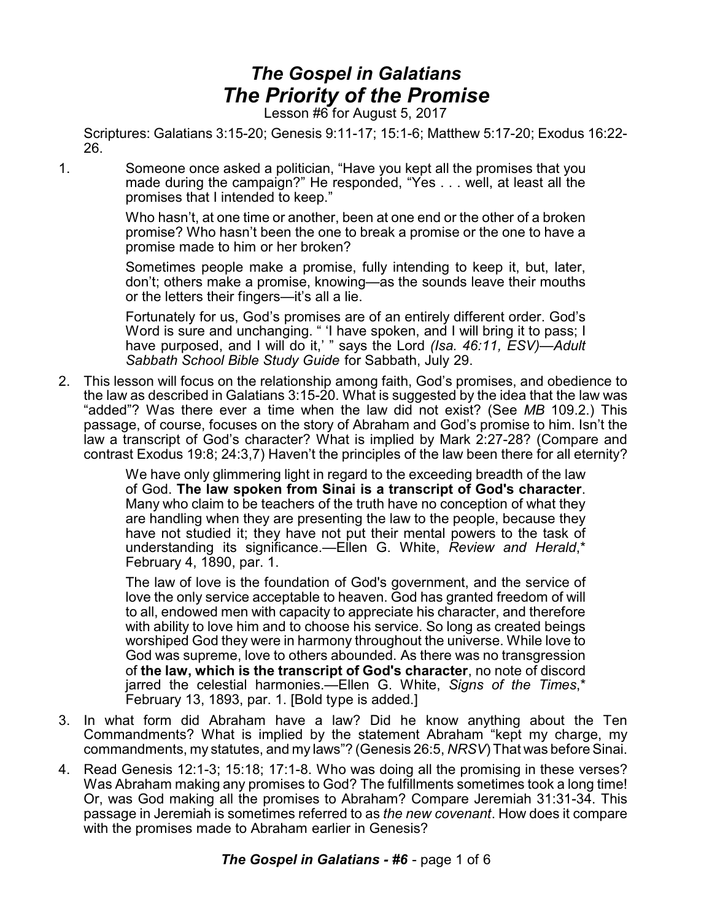## *The Gospel in Galatians The Priority of the Promise*

Lesson #6 for August 5, 2017

Scriptures: Galatians 3:15-20; Genesis 9:11-17; 15:1-6; Matthew 5:17-20; Exodus 16:22- 26.

1. Someone once asked a politician, "Have you kept all the promises that you made during the campaign?" He responded, "Yes . . . well, at least all the promises that I intended to keep."

> Who hasn't, at one time or another, been at one end or the other of a broken promise? Who hasn't been the one to break a promise or the one to have a promise made to him or her broken?

> Sometimes people make a promise, fully intending to keep it, but, later, don't; others make a promise, knowing—as the sounds leave their mouths or the letters their fingers—it's all a lie.

> Fortunately for us, God's promises are of an entirely different order. God's Word is sure and unchanging. " 'I have spoken, and I will bring it to pass; I have purposed, and I will do it,' " says the Lord *(Isa. 46:11, ESV)*—*Adult Sabbath School Bible Study Guide* for Sabbath, July 29.

2. This lesson will focus on the relationship among faith, God's promises, and obedience to the law as described in Galatians 3:15-20. What is suggested by the idea that the law was "added"? Was there ever a time when the law did not exist? (See *MB* 109.2.) This passage, of course, focuses on the story of Abraham and God's promise to him. Isn't the law a transcript of God's character? What is implied by Mark 2:27-28? (Compare and contrast Exodus 19:8; 24:3,7) Haven't the principles of the law been there for all eternity?

> We have only glimmering light in regard to the exceeding breadth of the law of God. **The law spoken from Sinai is a transcript of God's character**. Many who claim to be teachers of the truth have no conception of what they are handling when they are presenting the law to the people, because they have not studied it; they have not put their mental powers to the task of understanding its significance.—Ellen G. White, *Review and Herald*,\* February 4, 1890, par. 1.

> The law of love is the foundation of God's government, and the service of love the only service acceptable to heaven. God has granted freedom of will to all, endowed men with capacity to appreciate his character, and therefore with ability to love him and to choose his service. So long as created beings worshiped God they were in harmony throughout the universe. While love to God was supreme, love to others abounded. As there was no transgression of **the law, which is the transcript of God's character**, no note of discord jarred the celestial harmonies.—Ellen G. White, *Signs of the Times*,\* February 13, 1893, par. 1. [Bold type is added.]

- 3. In what form did Abraham have a law? Did he know anything about the Ten Commandments? What is implied by the statement Abraham "kept my charge, my commandments, my statutes, and my laws"? (Genesis 26:5, *NRSV*) That was before Sinai.
- 4. Read Genesis 12:1-3; 15:18; 17:1-8. Who was doing all the promising in these verses? Was Abraham making any promises to God? The fulfillments sometimes took a long time! Or, was God making all the promises to Abraham? Compare Jeremiah 31:31-34. This passage in Jeremiah is sometimes referred to as *the new covenant*. How does it compare with the promises made to Abraham earlier in Genesis?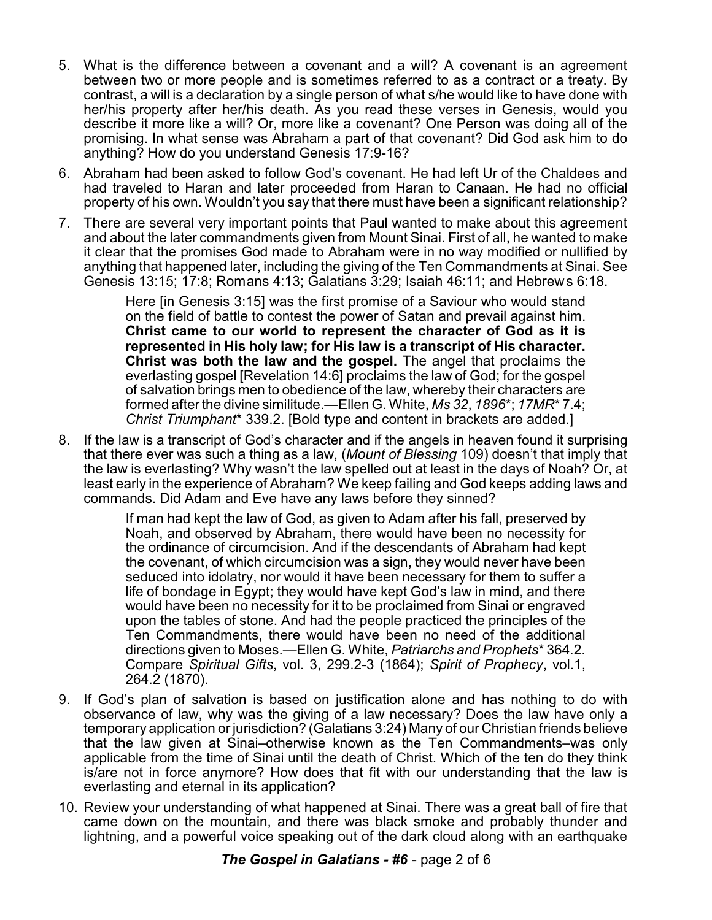- 5. What is the difference between a covenant and a will? A covenant is an agreement between two or more people and is sometimes referred to as a contract or a treaty. By contrast, a will is a declaration by a single person of what s/he would like to have done with her/his property after her/his death. As you read these verses in Genesis, would you describe it more like a will? Or, more like a covenant? One Person was doing all of the promising. In what sense was Abraham a part of that covenant? Did God ask him to do anything? How do you understand Genesis 17:9-16?
- 6. Abraham had been asked to follow God's covenant. He had left Ur of the Chaldees and had traveled to Haran and later proceeded from Haran to Canaan. He had no official property of his own. Wouldn't you say that there must have been a significant relationship?
- 7. There are several very important points that Paul wanted to make about this agreement and about the later commandments given from Mount Sinai. First of all, he wanted to make it clear that the promises God made to Abraham were in no way modified or nullified by anything that happened later, including the giving of the Ten Commandments at Sinai. See Genesis 13:15; 17:8; Romans 4:13; Galatians 3:29; Isaiah 46:11; and Hebrews 6:18.

Here [in Genesis 3:15] was the first promise of a Saviour who would stand on the field of battle to contest the power of Satan and prevail against him. **Christ came to our world to represent the character of God as it is represented in His holy law; for His law is a transcript of His character. Christ was both the law and the gospel.** The angel that proclaims the everlasting gospel [Revelation 14:6] proclaims the law of God; for the gospel of salvation brings men to obedience of the law, whereby their characters are formed after the divine similitude.—Ellen G. White, *Ms 32*, *1896*\*; *17MR*\* 7.4; *Christ Triumphant*\* 339.2. [Bold type and content in brackets are added.]

8. If the law is a transcript of God's character and if the angels in heaven found it surprising that there ever was such a thing as a law, (*Mount of Blessing* 109) doesn't that imply that the law is everlasting? Why wasn't the law spelled out at least in the days of Noah? Or, at least early in the experience of Abraham? We keep failing and God keeps adding laws and commands. Did Adam and Eve have any laws before they sinned?

> If man had kept the law of God, as given to Adam after his fall, preserved by Noah, and observed by Abraham, there would have been no necessity for the ordinance of circumcision. And if the descendants of Abraham had kept the covenant, of which circumcision was a sign, they would never have been seduced into idolatry, nor would it have been necessary for them to suffer a life of bondage in Egypt; they would have kept God's law in mind, and there would have been no necessity for it to be proclaimed from Sinai or engraved upon the tables of stone. And had the people practiced the principles of the Ten Commandments, there would have been no need of the additional directions given to Moses.—Ellen G. White, *Patriarchs and Prophets*\* 364.2. Compare *Spiritual Gifts*, vol. 3, 299.2-3 (1864); *Spirit of Prophecy*, vol.1, 264.2 (1870).

- 9. If God's plan of salvation is based on justification alone and has nothing to do with observance of law, why was the giving of a law necessary? Does the law have only a temporary application or jurisdiction? (Galatians 3:24) Many of our Christian friends believe that the law given at Sinai–otherwise known as the Ten Commandments–was only applicable from the time of Sinai until the death of Christ. Which of the ten do they think is/are not in force anymore? How does that fit with our understanding that the law is everlasting and eternal in its application?
- 10. Review your understanding of what happened at Sinai. There was a great ball of fire that came down on the mountain, and there was black smoke and probably thunder and lightning, and a powerful voice speaking out of the dark cloud along with an earthquake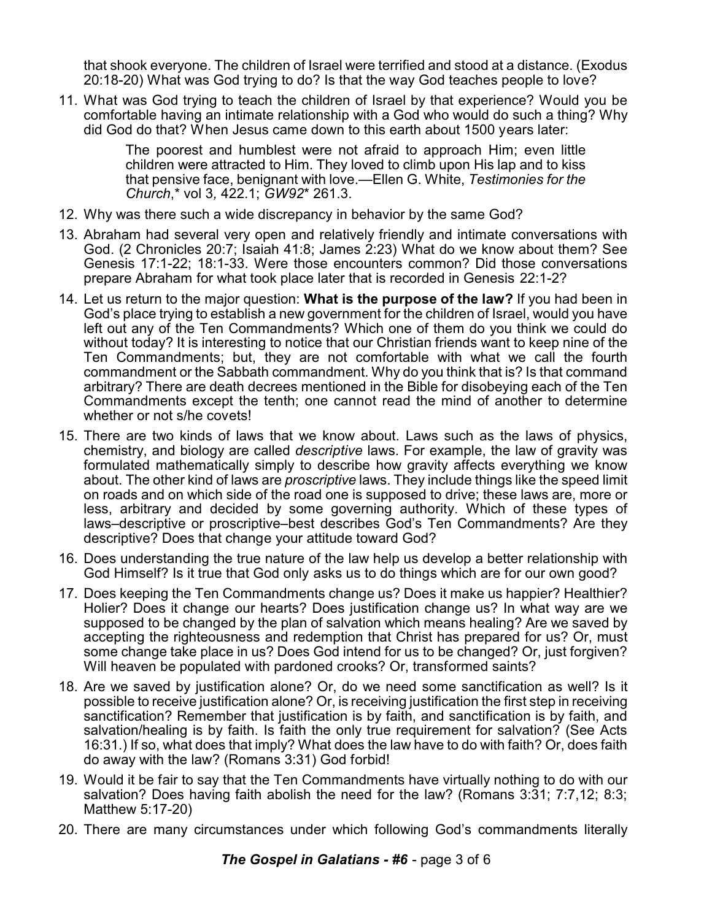that shook everyone. The children of Israel were terrified and stood at a distance. (Exodus 20:18-20) What was God trying to do? Is that the way God teaches people to love?

11. What was God trying to teach the children of Israel by that experience? Would you be comfortable having an intimate relationship with a God who would do such a thing? Why did God do that? When Jesus came down to this earth about 1500 years later:

> The poorest and humblest were not afraid to approach Him; even little children were attracted to Him. They loved to climb upon His lap and to kiss that pensive face, benignant with love.—Ellen G. White, *Testimonies for the Church*,\* vol 3*,* 422.1; *GW92*\* 261.3.

- 12. Why was there such a wide discrepancy in behavior by the same God?
- 13. Abraham had several very open and relatively friendly and intimate conversations with God. (2 Chronicles 20:7; Isaiah 41:8; James 2:23) What do we know about them? See Genesis 17:1-22; 18:1-33. Were those encounters common? Did those conversations prepare Abraham for what took place later that is recorded in Genesis 22:1-2?
- 14. Let us return to the major question: **What is the purpose of the law?** If you had been in God's place trying to establish a new government for the children of Israel, would you have left out any of the Ten Commandments? Which one of them do you think we could do without today? It is interesting to notice that our Christian friends want to keep nine of the Ten Commandments; but, they are not comfortable with what we call the fourth commandment or the Sabbath commandment. Why do you think that is? Is that command arbitrary? There are death decrees mentioned in the Bible for disobeying each of the Ten Commandments except the tenth; one cannot read the mind of another to determine whether or not s/he covets!
- 15. There are two kinds of laws that we know about. Laws such as the laws of physics, chemistry, and biology are called *descriptive* laws. For example, the law of gravity was formulated mathematically simply to describe how gravity affects everything we know about. The other kind of laws are *proscriptive* laws. They include things like the speed limit on roads and on which side of the road one is supposed to drive; these laws are, more or less, arbitrary and decided by some governing authority. Which of these types of laws–descriptive or proscriptive–best describes God's Ten Commandments? Are they descriptive? Does that change your attitude toward God?
- 16. Does understanding the true nature of the law help us develop a better relationship with God Himself? Is it true that God only asks us to do things which are for our own good?
- 17. Does keeping the Ten Commandments change us? Does it make us happier? Healthier? Holier? Does it change our hearts? Does justification change us? In what way are we supposed to be changed by the plan of salvation which means healing? Are we saved by accepting the righteousness and redemption that Christ has prepared for us? Or, must some change take place in us? Does God intend for us to be changed? Or, just forgiven? Will heaven be populated with pardoned crooks? Or, transformed saints?
- 18. Are we saved by justification alone? Or, do we need some sanctification as well? Is it possible to receive justification alone? Or, is receiving justification the first step in receiving sanctification? Remember that justification is by faith, and sanctification is by faith, and salvation/healing is by faith. Is faith the only true requirement for salvation? (See Acts 16:31.) If so, what does that imply? What does the law have to do with faith? Or, does faith do away with the law? (Romans 3:31) God forbid!
- 19. Would it be fair to say that the Ten Commandments have virtually nothing to do with our salvation? Does having faith abolish the need for the law? (Romans 3:31; 7:7,12; 8:3; Matthew 5:17-20)
- 20. There are many circumstances under which following God's commandments literally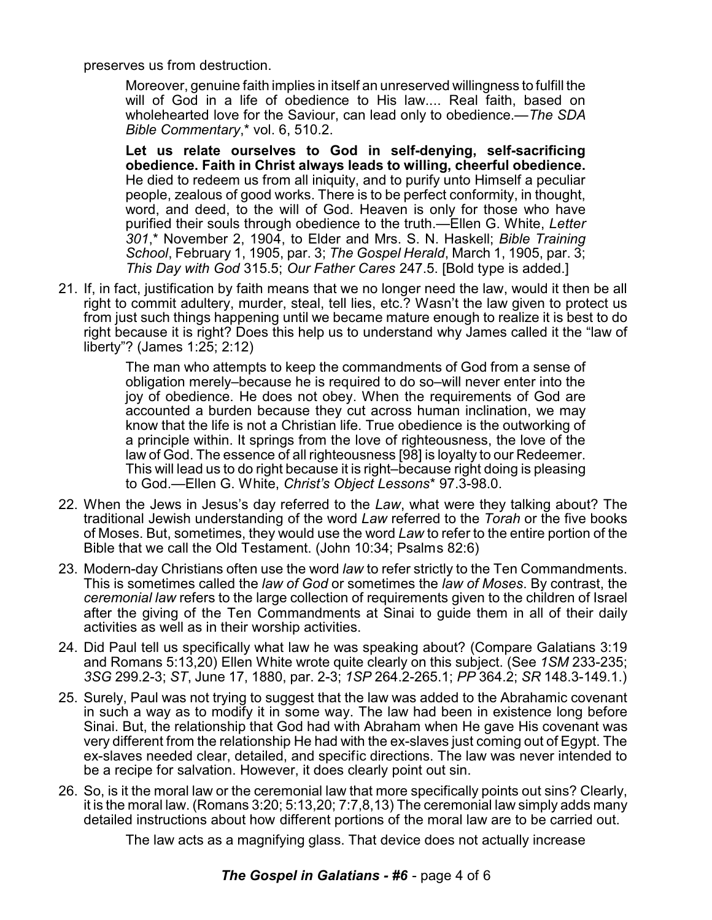preserves us from destruction.

Moreover, genuine faith implies in itself an unreserved willingness to fulfill the will of God in a life of obedience to His law.... Real faith, based on wholehearted love for the Saviour, can lead only to obedience.—*The SDA Bible Commentary*,\* vol. 6, 510.2.

**Let us relate ourselves to God in self-denying, self-sacrificing obedience. Faith in Christ always leads to willing, cheerful obedience.** He died to redeem us from all iniquity, and to purify unto Himself a peculiar people, zealous of good works. There is to be perfect conformity, in thought, word, and deed, to the will of God. Heaven is only for those who have purified their souls through obedience to the truth.—Ellen G. White, *Letter 301*,\* November 2, 1904, to Elder and Mrs. S. N. Haskell; *Bible Training School*, February 1, 1905, par. 3; *The Gospel Herald*, March 1, 1905, par. 3; *This Day with God* 315.5; *Our Father Cares* 247.5. [Bold type is added.]

21. If, in fact, justification by faith means that we no longer need the law, would it then be all right to commit adultery, murder, steal, tell lies, etc.? Wasn't the law given to protect us from just such things happening until we became mature enough to realize it is best to do right because it is right? Does this help us to understand why James called it the "law of liberty"? (James 1:25; 2:12)

> The man who attempts to keep the commandments of God from a sense of obligation merely–because he is required to do so–will never enter into the joy of obedience. He does not obey. When the requirements of God are accounted a burden because they cut across human inclination, we may know that the life is not a Christian life. True obedience is the outworking of a principle within. It springs from the love of righteousness, the love of the law of God. The essence of all righteousness [98] is loyalty to our Redeemer. This will lead us to do right because it is right–because right doing is pleasing to God.—Ellen G. White, *Christ's Object Lessons*\* 97.3-98.0.

- 22. When the Jews in Jesus's day referred to the *Law*, what were they talking about? The traditional Jewish understanding of the word *Law* referred to the *Torah* or the five books of Moses. But, sometimes, they would use the word *Law* to refer to the entire portion of the Bible that we call the Old Testament. (John 10:34; Psalms 82:6)
- 23. Modern-day Christians often use the word *law* to refer strictly to the Ten Commandments. This is sometimes called the *law of God* or sometimes the *law of Moses*. By contrast, the *ceremonial law* refers to the large collection of requirements given to the children of Israel after the giving of the Ten Commandments at Sinai to guide them in all of their daily activities as well as in their worship activities.
- 24. Did Paul tell us specifically what law he was speaking about? (Compare Galatians 3:19 and Romans 5:13,20) Ellen White wrote quite clearly on this subject. (See *1SM* 233-235; *3SG* 299.2-3; *ST*, June 17, 1880, par. 2-3; *1SP* 264.2-265.1; *PP* 364.2; *SR* 148.3-149.1.)
- 25. Surely, Paul was not trying to suggest that the law was added to the Abrahamic covenant in such a way as to modify it in some way. The law had been in existence long before Sinai. But, the relationship that God had with Abraham when He gave His covenant was very different from the relationship He had with the ex-slaves just coming out of Egypt. The ex-slaves needed clear, detailed, and specific directions. The law was never intended to be a recipe for salvation. However, it does clearly point out sin.
- 26. So, is it the moral law or the ceremonial law that more specifically points out sins? Clearly, it is the moral law. (Romans 3:20; 5:13,20; 7:7,8,13) The ceremonial law simply adds many detailed instructions about how different portions of the moral law are to be carried out.

The law acts as a magnifying glass. That device does not actually increase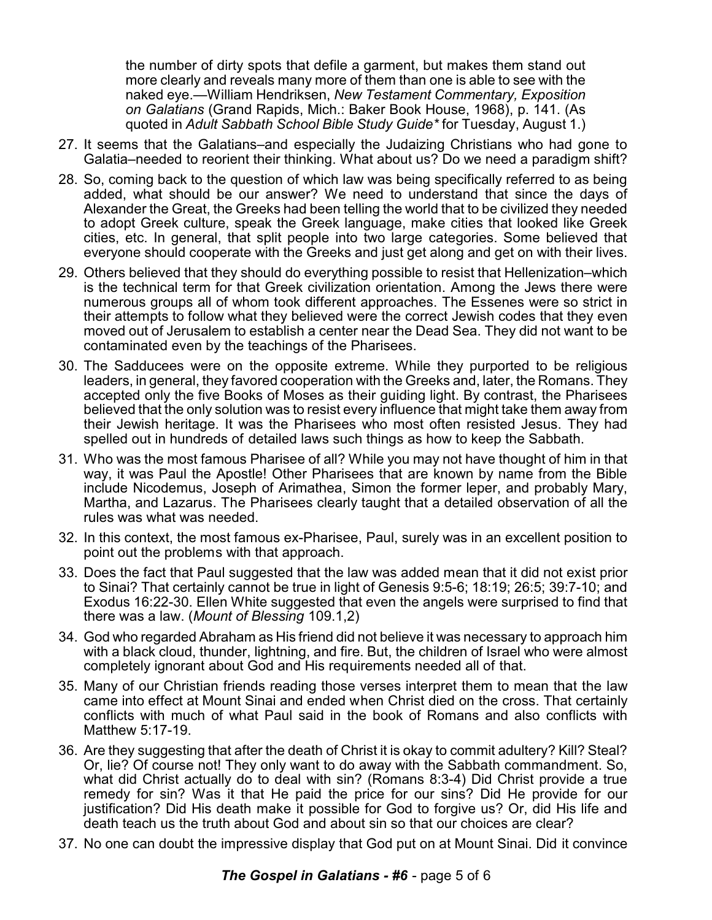the number of dirty spots that defile a garment, but makes them stand out more clearly and reveals many more of them than one is able to see with the naked eye.—William Hendriksen, *New Testament Commentary, Exposition on Galatians* (Grand Rapids, Mich.: Baker Book House, 1968), p. 141. (As quoted in *Adult Sabbath School Bible Study Guide\** for Tuesday, August 1.)

- 27. It seems that the Galatians–and especially the Judaizing Christians who had gone to Galatia–needed to reorient their thinking. What about us? Do we need a paradigm shift?
- 28. So, coming back to the question of which law was being specifically referred to as being added, what should be our answer? We need to understand that since the days of Alexander the Great, the Greeks had been telling the world that to be civilized they needed to adopt Greek culture, speak the Greek language, make cities that looked like Greek cities, etc. In general, that split people into two large categories. Some believed that everyone should cooperate with the Greeks and just get along and get on with their lives.
- 29. Others believed that they should do everything possible to resist that Hellenization–which is the technical term for that Greek civilization orientation. Among the Jews there were numerous groups all of whom took different approaches. The Essenes were so strict in their attempts to follow what they believed were the correct Jewish codes that they even moved out of Jerusalem to establish a center near the Dead Sea. They did not want to be contaminated even by the teachings of the Pharisees.
- 30. The Sadducees were on the opposite extreme. While they purported to be religious leaders, in general, they favored cooperation with the Greeks and, later, the Romans. They accepted only the five Books of Moses as their guiding light. By contrast, the Pharisees believed that the only solution was to resist every influence that might take them away from their Jewish heritage. It was the Pharisees who most often resisted Jesus. They had spelled out in hundreds of detailed laws such things as how to keep the Sabbath.
- 31. Who was the most famous Pharisee of all? While you may not have thought of him in that way, it was Paul the Apostle! Other Pharisees that are known by name from the Bible include Nicodemus, Joseph of Arimathea, Simon the former leper, and probably Mary, Martha, and Lazarus. The Pharisees clearly taught that a detailed observation of all the rules was what was needed.
- 32. In this context, the most famous ex-Pharisee, Paul, surely was in an excellent position to point out the problems with that approach.
- 33. Does the fact that Paul suggested that the law was added mean that it did not exist prior to Sinai? That certainly cannot be true in light of Genesis 9:5-6; 18:19; 26:5; 39:7-10; and Exodus 16:22-30. Ellen White suggested that even the angels were surprised to find that there was a law. (*Mount of Blessing* 109.1,2)
- 34. God who regarded Abraham as His friend did not believe it was necessary to approach him with a black cloud, thunder, lightning, and fire. But, the children of Israel who were almost completely ignorant about God and His requirements needed all of that.
- 35. Many of our Christian friends reading those verses interpret them to mean that the law came into effect at Mount Sinai and ended when Christ died on the cross. That certainly conflicts with much of what Paul said in the book of Romans and also conflicts with Matthew 5:17-19.
- 36. Are they suggesting that after the death of Christ it is okay to commit adultery? Kill? Steal? Or, lie? Of course not! They only want to do away with the Sabbath commandment. So, what did Christ actually do to deal with sin? (Romans 8:3-4) Did Christ provide a true remedy for sin? Was it that He paid the price for our sins? Did He provide for our justification? Did His death make it possible for God to forgive us? Or, did His life and death teach us the truth about God and about sin so that our choices are clear?
- 37. No one can doubt the impressive display that God put on at Mount Sinai. Did it convince